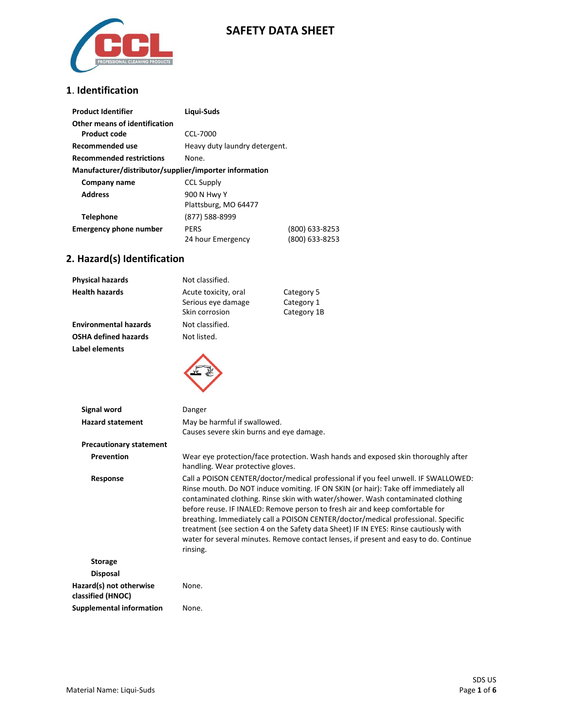

## **SAFETY DATA SHEET**

### **1**. **Identification**

| <b>Product Identifier</b>                              | Ligui-Suds                    |                |
|--------------------------------------------------------|-------------------------------|----------------|
| Other means of identification                          |                               |                |
| Product code                                           | CCL-7000                      |                |
| Recommended use                                        | Heavy duty laundry detergent. |                |
| <b>Recommended restrictions</b>                        | None.                         |                |
| Manufacturer/distributor/supplier/importer information |                               |                |
| Company name                                           | <b>CCL Supply</b>             |                |
| <b>Address</b>                                         | 900 N Hwy Y                   |                |
|                                                        | Plattsburg, MO 64477          |                |
| <b>Telephone</b>                                       | (877) 588-8999                |                |
| <b>Emergency phone number</b>                          | <b>PERS</b>                   | (800) 633-8253 |
|                                                        | 24 hour Emergency             | (800) 633-8253 |

# **2. Hazard(s) Identification**

| Physical hazards                             | Not classified.                                                                                                                                                                                                                                                                                                                                                                                                                                                                                                                                                                                                                |                                                                                   |
|----------------------------------------------|--------------------------------------------------------------------------------------------------------------------------------------------------------------------------------------------------------------------------------------------------------------------------------------------------------------------------------------------------------------------------------------------------------------------------------------------------------------------------------------------------------------------------------------------------------------------------------------------------------------------------------|-----------------------------------------------------------------------------------|
| <b>Health hazards</b>                        | Acute toxicity, oral<br>Serious eye damage<br>Skin corrosion                                                                                                                                                                                                                                                                                                                                                                                                                                                                                                                                                                   | Category 5<br>Category 1<br>Category 1B                                           |
| <b>Environmental hazards</b>                 | Not classified.                                                                                                                                                                                                                                                                                                                                                                                                                                                                                                                                                                                                                |                                                                                   |
| <b>OSHA defined hazards</b>                  | Not listed.                                                                                                                                                                                                                                                                                                                                                                                                                                                                                                                                                                                                                    |                                                                                   |
| <b>Label elements</b>                        |                                                                                                                                                                                                                                                                                                                                                                                                                                                                                                                                                                                                                                |                                                                                   |
| Signal word                                  | Danger                                                                                                                                                                                                                                                                                                                                                                                                                                                                                                                                                                                                                         |                                                                                   |
| <b>Hazard statement</b>                      | May be harmful if swallowed.<br>Causes severe skin burns and eye damage.                                                                                                                                                                                                                                                                                                                                                                                                                                                                                                                                                       |                                                                                   |
| <b>Precautionary statement</b>               |                                                                                                                                                                                                                                                                                                                                                                                                                                                                                                                                                                                                                                |                                                                                   |
| <b>Prevention</b>                            | handling. Wear protective gloves.                                                                                                                                                                                                                                                                                                                                                                                                                                                                                                                                                                                              | Wear eye protection/face protection. Wash hands and exposed skin thoroughly after |
| Response                                     | Call a POISON CENTER/doctor/medical professional if you feel unwell. IF SWALLOWED:<br>Rinse mouth. Do NOT induce vomiting. IF ON SKIN (or hair): Take off immediately all<br>contaminated clothing. Rinse skin with water/shower. Wash contaminated clothing<br>before reuse. IF INALED: Remove person to fresh air and keep comfortable for<br>breathing. Immediately call a POISON CENTER/doctor/medical professional. Specific<br>treatment (see section 4 on the Safety data Sheet) IF IN EYES: Rinse cautiously with<br>water for several minutes. Remove contact lenses, if present and easy to do. Continue<br>rinsing. |                                                                                   |
| <b>Storage</b>                               |                                                                                                                                                                                                                                                                                                                                                                                                                                                                                                                                                                                                                                |                                                                                   |
| <b>Disposal</b>                              |                                                                                                                                                                                                                                                                                                                                                                                                                                                                                                                                                                                                                                |                                                                                   |
| Hazard(s) not otherwise<br>classified (HNOC) | None.                                                                                                                                                                                                                                                                                                                                                                                                                                                                                                                                                                                                                          |                                                                                   |
| <b>Supplemental information</b>              | None.                                                                                                                                                                                                                                                                                                                                                                                                                                                                                                                                                                                                                          |                                                                                   |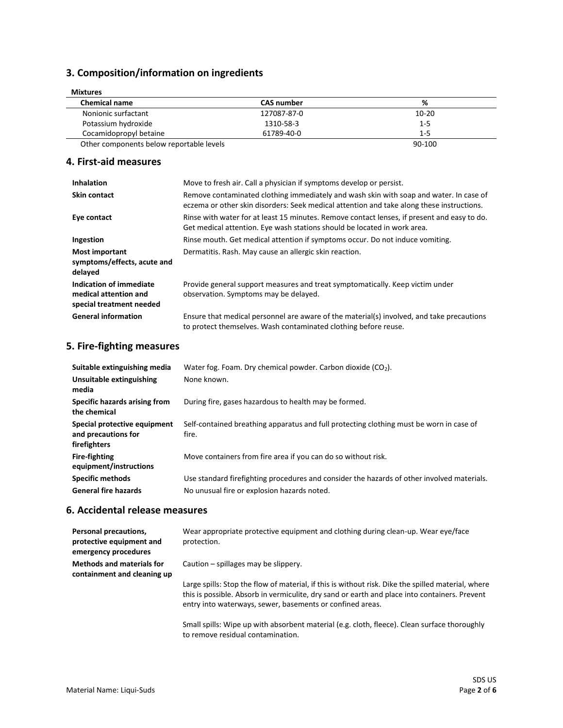## **3. Composition/information on ingredients**

| <b>Mixtures</b><br><b>Chemical name</b>  | <b>CAS number</b> | %         |
|------------------------------------------|-------------------|-----------|
| Nonionic surfactant                      | 127087-87-0       | $10 - 20$ |
| Potassium hydroxide                      | 1310-58-3         | $1 - 5$   |
| Cocamidopropyl betaine                   | 61789-40-0        | $1 - 5$   |
| Other components below reportable levels |                   | 90-100    |

### **4. First-aid measures**

| <b>Inhalation</b>                                                            | Move to fresh air. Call a physician if symptoms develop or persist.                                                                                                                 |
|------------------------------------------------------------------------------|-------------------------------------------------------------------------------------------------------------------------------------------------------------------------------------|
| <b>Skin contact</b>                                                          | Remove contaminated clothing immediately and wash skin with soap and water. In case of<br>eczema or other skin disorders: Seek medical attention and take along these instructions. |
| Eye contact                                                                  | Rinse with water for at least 15 minutes. Remove contact lenses, if present and easy to do.<br>Get medical attention. Eye wash stations should be located in work area.             |
| Ingestion                                                                    | Rinse mouth. Get medical attention if symptoms occur. Do not induce vomiting.                                                                                                       |
| <b>Most important</b><br>symptoms/effects, acute and<br>delayed              | Dermatitis. Rash. May cause an allergic skin reaction.                                                                                                                              |
| Indication of immediate<br>medical attention and<br>special treatment needed | Provide general support measures and treat symptomatically. Keep victim under<br>observation. Symptoms may be delayed.                                                              |
| <b>General information</b>                                                   | Ensure that medical personnel are aware of the material(s) involved, and take precautions<br>to protect themselves. Wash contaminated clothing before reuse.                        |

## **5. Fire-fighting measures**

| Suitable extinguishing media<br>Unsuitable extinguishing<br>media   | Water fog. Foam. Dry chemical powder. Carbon dioxide $(CO2)$ .<br>None known.                                                             |
|---------------------------------------------------------------------|-------------------------------------------------------------------------------------------------------------------------------------------|
| Specific hazards arising from<br>the chemical                       | During fire, gases hazardous to health may be formed.                                                                                     |
| Special protective equipment<br>and precautions for<br>firefighters | Self-contained breathing apparatus and full protecting clothing must be worn in case of<br>fire.                                          |
| <b>Fire-fighting</b><br>equipment/instructions                      | Move containers from fire area if you can do so without risk.                                                                             |
| <b>Specific methods</b><br><b>General fire hazards</b>              | Use standard firefighting procedures and consider the hazards of other involved materials.<br>No unusual fire or explosion hazards noted. |

### **6. Accidental release measures**

| Personal precautions,<br>protective equipment and<br>emergency procedures | Wear appropriate protective equipment and clothing during clean-up. Wear eye/face<br>protection.                                                                                                                                                                 |
|---------------------------------------------------------------------------|------------------------------------------------------------------------------------------------------------------------------------------------------------------------------------------------------------------------------------------------------------------|
| <b>Methods and materials for</b><br>containment and cleaning up           | Caution – spillages may be slippery.                                                                                                                                                                                                                             |
|                                                                           | Large spills: Stop the flow of material, if this is without risk. Dike the spilled material, where<br>this is possible. Absorb in vermiculite, dry sand or earth and place into containers. Prevent<br>entry into waterways, sewer, basements or confined areas. |
|                                                                           | Small spills: Wipe up with absorbent material (e.g. cloth, fleece). Clean surface thoroughly<br>to remove residual contamination.                                                                                                                                |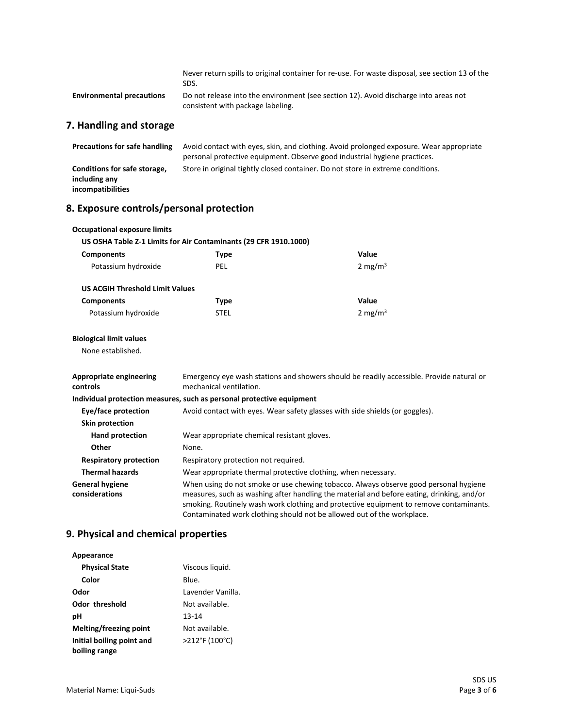|                                      | Never return spills to original container for re-use. For waste disposal, see section 13 of the<br>SDS.                   |
|--------------------------------------|---------------------------------------------------------------------------------------------------------------------------|
| <b>Environmental precautions</b>     | Do not release into the environment (see section 12). Avoid discharge into areas not<br>consistent with package labeling. |
| 7. Handling and storage              |                                                                                                                           |
| <b>Precautions for safe handling</b> | Avoid contact with eyes, skin, and clothing. Avoid prolonged exposure. Wear appropriate                                   |

|                              | personal protective equipment. Observe good industrial hygiene practices.       |
|------------------------------|---------------------------------------------------------------------------------|
| Conditions for safe storage, | Store in original tightly closed container. Do not store in extreme conditions. |
| including any                |                                                                                 |
| incompatibilities            |                                                                                 |

## **8. Exposure controls/personal protection**

| <b>Occupational exposure limits</b>        |                                                                                                                                                                                                                                                                             |                                                                                          |
|--------------------------------------------|-----------------------------------------------------------------------------------------------------------------------------------------------------------------------------------------------------------------------------------------------------------------------------|------------------------------------------------------------------------------------------|
|                                            | US OSHA Table Z-1 Limits for Air Contaminants (29 CFR 1910.1000)                                                                                                                                                                                                            |                                                                                          |
| <b>Components</b>                          | <b>Type</b>                                                                                                                                                                                                                                                                 | Value                                                                                    |
| Potassium hydroxide                        | PEL                                                                                                                                                                                                                                                                         | 2 mg/m $3$                                                                               |
| <b>US ACGIH Threshold Limit Values</b>     |                                                                                                                                                                                                                                                                             |                                                                                          |
| <b>Components</b>                          | Type                                                                                                                                                                                                                                                                        | Value                                                                                    |
| Potassium hydroxide                        | <b>STEL</b>                                                                                                                                                                                                                                                                 | 2 mg/m $3$                                                                               |
| <b>Biological limit values</b>             |                                                                                                                                                                                                                                                                             |                                                                                          |
| None established.                          |                                                                                                                                                                                                                                                                             |                                                                                          |
| <b>Appropriate engineering</b><br>controls | mechanical ventilation.                                                                                                                                                                                                                                                     | Emergency eye wash stations and showers should be readily accessible. Provide natural or |
|                                            | Individual protection measures, such as personal protective equipment                                                                                                                                                                                                       |                                                                                          |
| Eye/face protection                        |                                                                                                                                                                                                                                                                             | Avoid contact with eyes. Wear safety glasses with side shields (or goggles).             |
| <b>Skin protection</b>                     |                                                                                                                                                                                                                                                                             |                                                                                          |
| <b>Hand protection</b>                     | Wear appropriate chemical resistant gloves.                                                                                                                                                                                                                                 |                                                                                          |
| Other                                      | None.                                                                                                                                                                                                                                                                       |                                                                                          |
| <b>Respiratory protection</b>              | Respiratory protection not required.                                                                                                                                                                                                                                        |                                                                                          |
| <b>Thermal hazards</b>                     | Wear appropriate thermal protective clothing, when necessary.                                                                                                                                                                                                               |                                                                                          |
| <b>General hygiene</b><br>considerations   | When using do not smoke or use chewing tobacco. Always observe good personal hygiene<br>measures, such as washing after handling the material and before eating, drinking, and/or<br>smoking. Routinely wash work clothing and protective equipment to remove contaminants. |                                                                                          |

Contaminated work clothing should not be allowed out of the workplace.

## **9. Physical and chemical properties**

| Appearance                |                   |
|---------------------------|-------------------|
| <b>Physical State</b>     | Viscous liquid.   |
| Color                     | Blue.             |
| Odor                      | Lavender Vanilla. |
| Odor threshold            | Not available.    |
| рH                        | 13-14             |
| Melting/freezing point    | Not available.    |
| Initial boiling point and | >212°F (100°C)    |
| boiling range             |                   |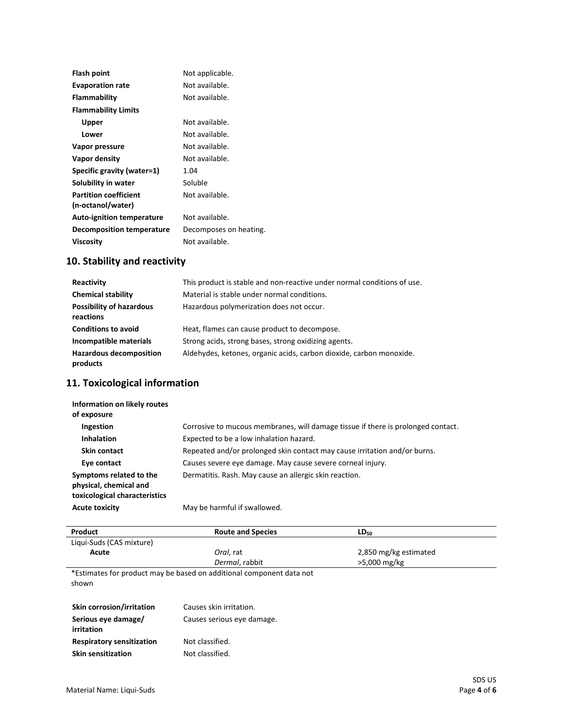| Not applicable.        |
|------------------------|
| Not available.         |
| Not available.         |
|                        |
| Not available.         |
| Not available.         |
| Not available.         |
| Not available.         |
| 1.04                   |
| Soluble                |
| Not available.         |
|                        |
| Not available.         |
| Decomposes on heating. |
| Not available.         |
|                        |

## **10. Stability and reactivity**

| Reactivity                                   | This product is stable and non-reactive under normal conditions of use. |
|----------------------------------------------|-------------------------------------------------------------------------|
| <b>Chemical stability</b>                    | Material is stable under normal conditions.                             |
| <b>Possibility of hazardous</b><br>reactions | Hazardous polymerization does not occur.                                |
| <b>Conditions to avoid</b>                   | Heat, flames can cause product to decompose.                            |
| Incompatible materials                       | Strong acids, strong bases, strong oxidizing agents.                    |
| <b>Hazardous decomposition</b><br>products   | Aldehydes, ketones, organic acids, carbon dioxide, carbon monoxide.     |

## **11. Toxicological information**

| Information on likely routes<br>of exposure                                        |                                                                                  |
|------------------------------------------------------------------------------------|----------------------------------------------------------------------------------|
| Ingestion                                                                          | Corrosive to mucous membranes, will damage tissue if there is prolonged contact. |
| <b>Inhalation</b>                                                                  | Expected to be a low inhalation hazard.                                          |
| <b>Skin contact</b>                                                                | Repeated and/or prolonged skin contact may cause irritation and/or burns.        |
| Eye contact                                                                        | Causes severe eye damage. May cause severe corneal injury.                       |
| Symptoms related to the<br>physical, chemical and<br>toxicological characteristics | Dermatitis. Rash. May cause an allergic skin reaction.                           |
| <b>Acute toxicity</b>                                                              | May be harmful if swallowed.                                                     |

| Product                   | <b>Route and Species</b>                                             | $LD_{50}$             |  |
|---------------------------|----------------------------------------------------------------------|-----------------------|--|
| Liqui-Suds (CAS mixture)  |                                                                      |                       |  |
| Acute                     | Oral, rat                                                            | 2,850 mg/kg estimated |  |
|                           | Dermal, rabbit                                                       | >5,000 mg/kg          |  |
| shown                     | *Estimates for product may be based on additional component data not |                       |  |
| Skin corrosion/irritation | Causes skin irritation.                                              |                       |  |
| Serious eye damage/       | Causes serious eye damage.                                           |                       |  |

| Serious eye damage/<br>irritation | Causes serious eye dam |
|-----------------------------------|------------------------|
| <b>Respiratory sensitization</b>  | Not classified.        |
| <b>Skin sensitization</b>         | Not classified.        |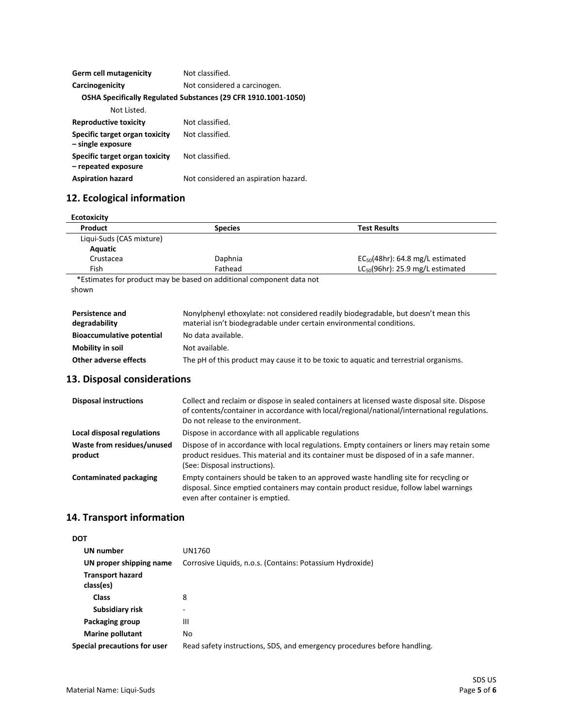| Germ cell mutagenicity                                | Not classified.                                                |
|-------------------------------------------------------|----------------------------------------------------------------|
| Carcinogenicity                                       | Not considered a carcinogen.                                   |
|                                                       | OSHA Specifically Regulated Substances (29 CFR 1910.1001-1050) |
| Not Listed.                                           |                                                                |
| <b>Reproductive toxicity</b>                          | Not classified.                                                |
| Specific target organ toxicity<br>- single exposure   | Not classified.                                                |
| Specific target organ toxicity<br>- repeated exposure | Not classified.                                                |
| <b>Aspiration hazard</b>                              | Not considered an aspiration hazard.                           |

## **12. Ecological information**

| Product                  | <b>Species</b>                                                       | <b>Test Results</b>                   |
|--------------------------|----------------------------------------------------------------------|---------------------------------------|
| Liqui-Suds (CAS mixture) |                                                                      |                                       |
| Aquatic                  |                                                                      |                                       |
| Crustacea                | Daphnia                                                              | $EC_{50}(48hr)$ : 64.8 mg/L estimated |
| Fish                     | Fathead                                                              | $LC_{50}(96hr)$ : 25.9 mg/L estimated |
|                          | *Estimates for product may be based on additional component data not |                                       |
| shown                    |                                                                      |                                       |

| <b>Persistence and</b><br>degradability | Nonylphenyl ethoxylate: not considered readily biodegradable, but doesn't mean this<br>material isn't biodegradable under certain environmental conditions. |
|-----------------------------------------|-------------------------------------------------------------------------------------------------------------------------------------------------------------|
| <b>Bioaccumulative potential</b>        | No data available.                                                                                                                                          |
| Mobility in soil                        | Not available.                                                                                                                                              |
| Other adverse effects                   | The pH of this product may cause it to be toxic to aquatic and terrestrial organisms.                                                                       |

## **13. Disposal considerations**

| <b>Disposal instructions</b>          | Collect and reclaim or dispose in sealed containers at licensed waste disposal site. Dispose<br>of contents/container in accordance with local/regional/national/international regulations.<br>Do not release to the environment. |
|---------------------------------------|-----------------------------------------------------------------------------------------------------------------------------------------------------------------------------------------------------------------------------------|
| Local disposal regulations            | Dispose in accordance with all applicable regulations                                                                                                                                                                             |
| Waste from residues/unused<br>product | Dispose of in accordance with local regulations. Empty containers or liners may retain some<br>product residues. This material and its container must be disposed of in a safe manner.<br>(See: Disposal instructions).           |
| Contaminated packaging                | Empty containers should be taken to an approved waste handling site for recycling or<br>disposal. Since emptied containers may contain product residue, follow label warnings<br>even after container is emptied.                 |

## **14. Transport information**

| <b>DOT</b>                           |                                                                          |
|--------------------------------------|--------------------------------------------------------------------------|
| UN number                            | UN1760                                                                   |
| UN proper shipping name              | Corrosive Liquids, n.o.s. (Contains: Potassium Hydroxide)                |
| <b>Transport hazard</b><br>class(es) |                                                                          |
| <b>Class</b>                         | 8                                                                        |
| Subsidiary risk                      | ۰                                                                        |
| Packaging group                      | Ш                                                                        |
| <b>Marine pollutant</b>              | No.                                                                      |
| <b>Special precautions for user</b>  | Read safety instructions, SDS, and emergency procedures before handling. |